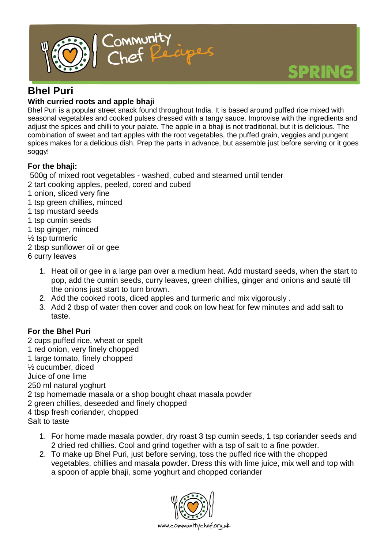

## **Bhel Puri**

### **With curried roots and apple bhaji**

Bhel Puri is a popular street snack found throughout India. It is based around puffed rice mixed with seasonal vegetables and cooked pulses dressed with a tangy sauce. Improvise with the ingredients and adjust the spices and chilli to your palate. The apple in a bhaji is not traditional, but it is delicious. The combination of sweet and tart apples with the root vegetables, the puffed grain, veggies and pungent spices makes for a delicious dish. Prep the parts in advance, but assemble just before serving or it goes soggy!

### **For the bhaji:**

500g of mixed root vegetables - washed, cubed and steamed until tender

- 2 tart cooking apples, peeled, cored and cubed
- 1 onion, sliced very fine
- 1 tsp green chillies, minced
- 1 tsp mustard seeds
- 1 tsp cumin seeds
- 1 tsp ginger, minced
- ½ tsp turmeric
- 2 tbsp sunflower oil or gee
- 6 curry leaves
	- 1. Heat oil or gee in a large pan over a medium heat. Add mustard seeds, when the start to pop, add the cumin seeds, curry leaves, green chillies, ginger and onions and sauté till the onions just start to turn brown.
	- 2. Add the cooked roots, diced apples and turmeric and mix vigorously .
	- 3. Add 2 tbsp of water then cover and cook on low heat for few minutes and add salt to taste.

### **For the Bhel Puri**

2 cups puffed rice, wheat or spelt 1 red onion, very finely chopped 1 large tomato, finely chopped ½ cucumber, diced Juice of one lime 250 ml natural yoghurt 2 tsp homemade masala or a shop bought chaat masala powder 2 green chillies, deseeded and finely chopped 4 tbsp fresh coriander, chopped Salt to taste

- 1. For home made masala powder, dry roast 3 tsp cumin seeds, 1 tsp coriander seeds and 2 dried red chillies. Cool and grind together with a tsp of salt to a fine powder.
- 2. To make up Bhel Puri, just before serving, toss the puffed rice with the chopped vegetables, chillies and masala powder. Dress this with lime juice, mix well and top with a spoon of apple bhaji, some yoghurt and chopped coriander

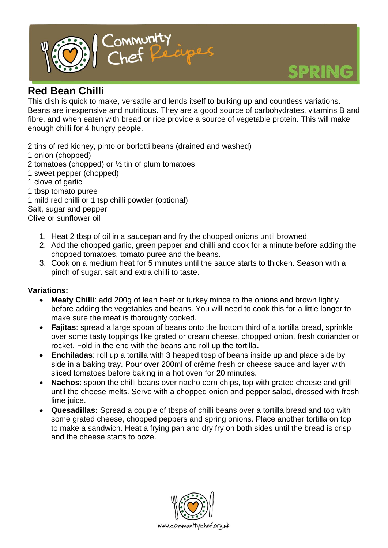

# **Red Bean Chilli**

This dish is quick to make, versatile and lends itself to bulking up and countless variations. Beans are inexpensive and nutritious. They are a good source of carbohydrates, vitamins B and fibre, and when eaten with bread or rice provide a source of vegetable protein. This will make enough chilli for 4 hungry people.

2 tins of red kidney, pinto or borlotti beans (drained and washed)

- 1 onion (chopped)
- 2 tomatoes (chopped) or ½ tin of plum tomatoes
- 1 sweet pepper (chopped)
- 1 clove of garlic
- 1 tbsp tomato puree

1 mild red chilli or 1 tsp chilli powder (optional)

Salt, sugar and pepper

Olive or sunflower oil

- 1. Heat 2 tbsp of oil in a saucepan and fry the chopped onions until browned.
- 2. Add the chopped garlic, green pepper and chilli and cook for a minute before adding the chopped tomatoes, tomato puree and the beans.
- 3. Cook on a medium heat for 5 minutes until the sauce starts to thicken. Season with a pinch of sugar. salt and extra chilli to taste.

### **Variations:**

- **Meaty Chilli**: add 200g of lean beef or turkey mince to the onions and brown lightly before adding the vegetables and beans. You will need to cook this for a little longer to make sure the meat is thoroughly cooked.
- **Fajitas**: spread a large spoon of beans onto the bottom third of a tortilla bread, sprinkle over some tasty toppings like grated or cream cheese, chopped onion, fresh coriander or rocket. Fold in the end with the beans and roll up the tortilla**.**
- **Enchiladas**: roll up a tortilla with 3 heaped tbsp of beans inside up and place side by side in a baking tray. Pour over 200ml of crème fresh or cheese sauce and layer with sliced tomatoes before baking in a hot oven for 20 minutes.
- **Nachos**: spoon the chilli beans over nacho corn chips, top with grated cheese and grill until the cheese melts. Serve with a chopped onion and pepper salad, dressed with fresh lime juice.
- **Quesadillas:** Spread a couple of tbsps of chilli beans over a tortilla bread and top with some grated cheese, chopped peppers and spring onions. Place another tortilla on top to make a sandwich. Heat a frying pan and dry fry on both sides until the bread is crisp and the cheese starts to ooze.

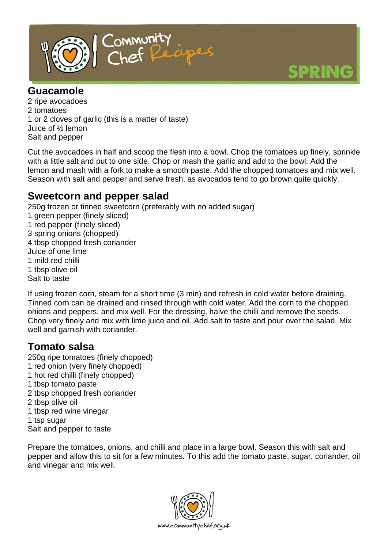

### **Guacamole**

2 ripe avocadoes 2 tomatoes 1 or 2 cloves of garlic (this is a matter of taste) Juice of ½ lemon Salt and pepper

Cut the avocadoes in half and scoop the flesh into a bowl. Chop the tomatoes up finely, sprinkle with a little salt and put to one side. Chop or mash the garlic and add to the bowl. Add the lemon and mash with a fork to make a smooth paste. Add the chopped tomatoes and mix well. Season with salt and pepper and serve fresh, as avocados tend to go brown quite quickly.

### **Sweetcorn and pepper salad**

250g frozen or tinned sweetcorn (preferably with no added sugar) 1 green pepper (finely sliced) 1 red pepper (finely sliced) 3 spring onions (chopped) 4 tbsp chopped fresh coriander Juice of one lime 1 mild red chilli 1 tbsp olive oil Salt to taste

If using frozen corn, steam for a short time (3 min) and refresh in cold water before draining. Tinned corn can be drained and rinsed through with cold water. Add the corn to the chopped onions and peppers, and mix well. For the dressing, halve the chilli and remove the seeds. Chop very finely and mix with lime juice and oil. Add salt to taste and pour over the salad. Mix well and garnish with coriander.

## **Tomato salsa**

250g ripe tomatoes (finely chopped) 1 red onion (very finely chopped) 1 hot red chilli (finely chopped) 1 tbsp tomato paste 2 tbsp chopped fresh coriander 2 tbsp olive oil 1 tbsp red wine vinegar 1 tsp sugar Salt and pepper to taste

Prepare the tomatoes, onions, and chilli and place in a large bowl. Season this with salt and pepper and allow this to sit for a few minutes. To this add the tomato paste, sugar, coriander, oil and vinegar and mix well.